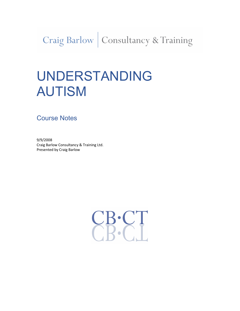Craig Barlow | Consultancy & Training

# UNDERSTANDING AUTISM

Course Notes

9/9/2008 Craig Barlow Consultancy & Training Ltd. Presented by Craig Barlow

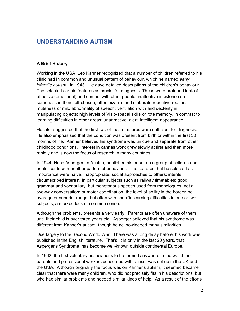# UNDERSTANDING AUTISM

# A Brief History

Working in the USA, Leo Kanner recognized that a number of children referred to his clinic had in common and unusual pattern of behaviour, which he named early infantile autism. In 1943. He gave detailed descriptions of the children's behaviour. The selected certain features as crucial for diagnosis .These were profound lack of effective (emotional) and contact with other people; inattentive insistence on sameness in their self-chosen, often bizarre and elaborate repetitive routines; muteness or mild abnormality of speech; ventilation with and dexterity in manipulating objects; high levels of Visio-spatial skills or rote memory, in contrast to learning difficulties in other areas; unattractive, alert, intelligent appearance.

\_\_\_\_\_\_\_\_\_\_\_\_\_\_\_\_\_\_\_\_\_\_\_\_\_\_\_\_\_\_\_\_\_\_\_\_\_\_\_\_\_\_\_\_\_\_\_\_\_\_

He later suggested that the first two of these features were sufficient for diagnosis. He also emphasised that the condition was present from birth or within the first 30 months of life. Kanner believed his syndrome was unique and separate from other childhood conditions. Interest in cannas work grew slowly at first and then more rapidly and is now the focus of research in many countries.

In 1944, Hans Asperger, in Austria, published his paper on a group of children and adolescents with another pattern of behaviour. The features that he selected as importance were naive, inappropriate, social approaches to others; intents circumscribed interest, in particular subjects such as railway timetables; good grammar and vocabulary, but monotonous speech used from monologues, not a two-way conversation; or motor coordination; the level of ability in the borderline, average or superior range, but often with specific learning difficulties in one or two subjects; a marked lack of common sense.

Although the problems, presents a very early. Parents are often unaware of them until their child is over three years old. Asperger believed that his syndrome was different from Kanner's autism, though he acknowledged many similarities.

Due largely to the Second World War. There was a long delay before, his work was published in the English literature. That's, it is only in the last 20 years, that Asperger's Syndrome has become well-known outside continental Europe.

In 1962, the first voluntary associations to be formed anywhere in the world the parents and professional workers concerned with autism was set up in the UK and the USA. Although originally the focus was on Kanner's autism, it seemed became clear that there were many children, who did not precisely fits in his descriptions, but who had similar problems and needed similar kinds of help. As a result of the efforts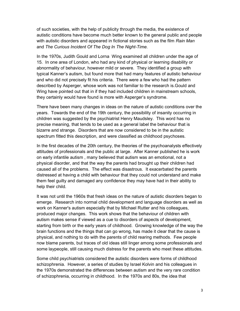of such societies, with the help of publicity through the media, the existence of autistic conditions have become much better known to the general public and people with autistic disorders and appeared in fictional stories such as the film Rain Man and The Curious Incident Of The Dog In The Night-Time.

In the 1970s, Judith Gould and Lorna Wing examined all children under the age of 15. In one area of London, who had any kind of physical or learning disability or abnormality of behaviour, however mild or severe. They identified a group with typical Kanner's autism, but found more that had many features of autistic behaviour and who did not precisely fit his criteria. There were a few who had the pattern described by Asperger, whose work was not familiar to the research is.Gould and Wing have pointed out that in if they had included children in mainstream schools, they certainly would have found is more with Asperger's syndrome.

There have been many changes in ideas on the nature of autistic conditions over the years. Towards the end of the 19th century, the possibility of insanity occurring in children was suggested by the psychiatrist Henry Maudsley. This word has no precise meaning, that tends to be used as a general label the behaviour that is bizarre and strange. Disorders that are now considered to be in the autistic spectrum fitted this description, and were classified as childhood psychoses.

In the first decades of the 20th century, the theories of the psychoanalysts effectively attitudes of professionals and the public at large. After Kanner published he is work on early infantile autism , many believed that autism was an emotional, not a physical disorder, and that the way the parents had brought up their children had caused all of the problems. The effect was disastrous. It exacerbated the parents distressed at having a child with behaviour that they could not understand and make them feel guilty and damaged any confidence they may have had in their ability to help their child.

It was not until the 1960s that fresh ideas on the nature of autistic disorders began to emerge. Research into normal child development and language disorders as well as work on Kanner's autism especially that by Michael Rutter and his colleagues, produced major changes. This work shows that the behaviour of children with autism makes sense if viewed as a cue to disorders of aspects of development, starting from birth or the early years of childhood. Growing knowledge of the way the brain functions and the things that can go wrong, has made it clear that the cause is physical, and nothing to do with the parents of child rearing methods. Few people now blame parents, but traces of old ideas still linger among some professionals and some laypeople, still causing much distress for the parents who meet these attitudes.

Some child psychiatrists considered the autistic disorders were forms of childhood schizophrenia. However, a series of studies by Israel Kolvin and his colleagues in the 1970s demonstrated the differences between autism and the very rare condition of schizophrenia, occurring in childhood. In the 1970s and 80s, the idea that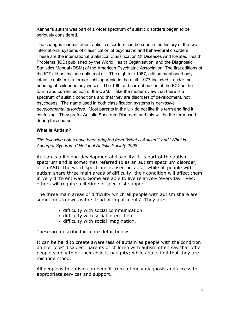Kanner's autism was part of a wider spectrum of autistic disorders began to be seriously considered.

The changes in ideas about autistic disorders can be seen in the history of the two international systems of classification of psychiatric and behavioural disorders. These are the international Statistical Classification Of Diseases And Related Health Problems (ICD) published by the World Health Organisation and the Diagnostic Statistics Manual (DSM) of the American Psychiatric Association. The first editions of the ICT did not include autism at all. The eighth in 1967, edition mentioned only infantile autism is a former schizophrenia in the ninth 1977 included it under the heading of childhood psychoses. The 10th and current edition of the ICD as the fourth and current edition of the DSM. Take the modern view that there is a spectrum of autistic conditions and that they are disorders of development, not psychoses. The name used in both classification systems is *pervasive* developmental disorders. Most parents in the UK do not like this term and find it confusing. They prefer Autistic Spectrum Disorders and this will be the term used during this course.

# What Is Autism?

The following notes have been adapted from "What is Autism?" and "What is Asperger Syndrome" National Autistic Society 2008

Autism is a lifelong developmental disability. It is part of the autism spectrum and is sometimes referred to as an autism spectrum disorder, or an ASD. The word 'spectrum' is used because, while all people with autism share three main areas of difficulty, their condition will affect them in very different ways. Some are able to live relatively 'everyday' lives; others will require a lifetime of specialist support.

The three main areas of difficulty which all people with autism share are sometimes known as the 'triad of impairments'. They are:

- difficulty with social communication
- difficulty with social interaction
- difficulty with social imagination.

These are described in more detail below.

It can be hard to create awareness of autism as people with the condition do not 'look' disabled: parents of children with autism often say that other people simply think their child is naughty; while adults find that they are misunderstood.

All people with autism can benefit from a timely diagnosis and access to appropriate services and support.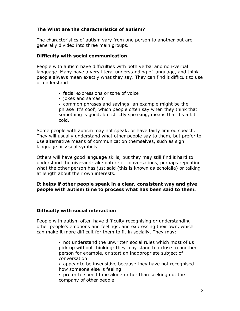# The What are the characteristics of autism?

The characteristics of autism vary from one person to another but are generally divided into three main groups.

# Difficulty with social communication

People with autism have difficulties with both verbal and non-verbal language. Many have a very literal understanding of language, and think people always mean exactly what they say. They can find it difficult to use or understand:

- facial expressions or tone of voice
- jokes and sarcasm

 common phrases and sayings; an example might be the phrase 'It's cool', which people often say when they think that something is good, but strictly speaking, means that it's a bit cold.

Some people with autism may not speak, or have fairly limited speech. They will usually understand what other people say to them, but prefer to use alternative means of communication themselves, such as sign language or visual symbols.

Others will have good language skills, but they may still find it hard to understand the give-and-take nature of conversations, perhaps repeating what the other person has just said (this is known as echolalia) or talking at length about their own interests.

# It helps if other people speak in a clear, consistent way and give people with autism time to process what has been said to them.

# Difficulty with social interaction

People with autism often have difficulty recognising or understanding other people's emotions and feelings, and expressing their own, which can make it more difficult for them to fit in socially. They may:

> not understand the unwritten social rules which most of us pick up without thinking: they may stand too close to another person for example, or start an inappropriate subject of conversation

 appear to be insensitive because they have not recognised how someone else is feeling

 prefer to spend time alone rather than seeking out the company of other people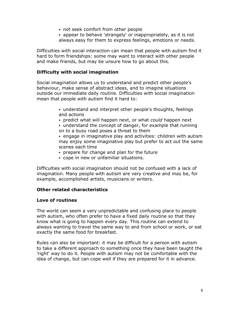- not seek comfort from other people
- appear to behave 'strangely' or inappropriately, as it is not always easy for them to express feelings, emotions or needs.

Difficulties with social interaction can mean that people with autism find it hard to form friendships: some may want to interact with other people and make friends, but may be unsure how to go about this.

# Difficulty with social imagination

Social imagination allows us to understand and predict other people's behaviour, make sense of abstract ideas, and to imagine situations outside our immediate daily routine. Difficulties with social imagination mean that people with autism find it hard to:

- understand and interpret other people's thoughts, feelings and actions
- predict what will happen next, or what could happen next
- understand the concept of danger, for example that running on to a busy road poses a threat to them

 engage in imaginative play and activities: children with autism may enjoy some imaginative play but prefer to act out the same scenes each time

- prepare for change and plan for the future
- cope in new or unfamiliar situations.

Difficulties with social imagination should not be confused with a lack of imagination. Many people with autism are very creative and may be, for example, accomplished artists, musicians or writers.

# Other related characteristics

# Love of routines

The world can seem a very unpredictable and confusing place to people with autism, who often prefer to have a fixed daily routine so that they know what is going to happen every day. This routine can extend to always wanting to travel the same way to and from school or work, or eat exactly the same food for breakfast.

Rules can also be important: it may be difficult for a person with autism to take a different approach to something once they have been taught the 'right' way to do it. People with autism may not be comfortable with the idea of change, but can cope well if they are prepared for it in advance.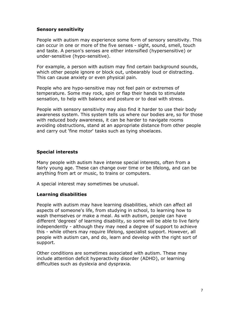# Sensory sensitivity

People with autism may experience some form of sensory sensitivity. This can occur in one or more of the five senses - sight, sound, smell, touch and taste. A person's senses are either intensified (hypersensitive) or under-sensitive (hypo-sensitive).

For example, a person with autism may find certain background sounds, which other people ignore or block out, unbearably loud or distracting. This can cause anxiety or even physical pain.

People who are hypo-sensitive may not feel pain or extremes of temperature. Some may rock, spin or flap their hands to stimulate sensation, to help with balance and posture or to deal with stress.

People with sensory sensitivity may also find it harder to use their body awareness system. This system tells us where our bodies are, so for those with reduced body awareness, it can be harder to navigate rooms avoiding obstructions, stand at an appropriate distance from other people and carry out 'fine motor' tasks such as tying shoelaces.

# Special interests

Many people with autism have intense special interests, often from a fairly young age. These can change over time or be lifelong, and can be anything from art or music, to trains or computers.

A special interest may sometimes be unusual.

# Learning disabilities

People with autism may have learning disabilities, which can affect all aspects of someone's life, from studying in school, to learning how to wash themselves or make a meal. As with autism, people can have different 'degrees' of learning disability, so some will be able to live fairly independently - although they may need a degree of support to achieve this - while others may require lifelong, specialist support. However, all people with autism can, and do, learn and develop with the right sort of support.

Other conditions are sometimes associated with autism. These may include attention deficit hyperactivity disorder (ADHD), or learning difficulties such as dyslexia and dyspraxia.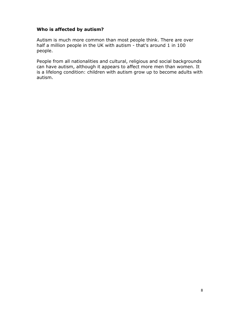# Who is affected by autism?

Autism is much more common than most people think. There are over half a million people in the UK with autism - that's around 1 in 100 people.

People from all nationalities and cultural, religious and social backgrounds can have autism, although it appears to affect more men than women. It is a lifelong condition: children with autism grow up to become adults with autism.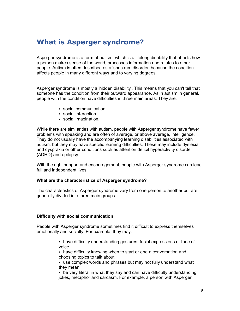# What is Asperger syndrome?

Asperger syndrome is a form of autism, which is a lifelong disability that affects how a person makes sense of the world, processes information and relates to other people. Autism is often described as a 'spectrum disorder' because the condition affects people in many different ways and to varying degrees.

Asperger syndrome is mostly a 'hidden disability'. This means that you can't tell that someone has the condition from their outward appearance. As in autism in general, people with the condition have difficulties in three main areas. They are:

- social communication
- social interaction
- social imagination.

While there are similarities with autism, people with Asperger syndrome have fewer problems with speaking and are often of average, or above average, intelligence. They do not usually have the accompanying learning disabilities associated with autism, but they may have specific learning difficulties. These may include dyslexia and dyspraxia or other conditions such as attention deficit hyperactivity disorder (ADHD) and epilepsy.

With the right support and encouragement, people with Asperger syndrome can lead full and independent lives.

#### What are the characteristics of Asperger syndrome?

The characteristics of Asperger syndrome vary from one person to another but are generally divided into three main groups.

#### Difficulty with social communication

People with Asperger syndrome sometimes find it difficult to express themselves emotionally and socially. For example, they may:

- have difficulty understanding gestures, facial expressions or tone of voice
- have difficulty knowing when to start or end a conversation and choosing topics to talk about
- use complex words and phrases but may not fully understand what they mean
- be very literal in what they say and can have difficulty understanding jokes, metaphor and sarcasm. For example, a person with Asperger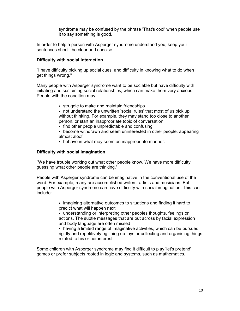syndrome may be confused by the phrase 'That's cool' when people use it to say something is good.

In order to help a person with Asperger syndrome understand you, keep your sentences short - be clear and concise.

#### Difficulty with social interaction

"I have difficulty picking up social cues, and difficulty in knowing what to do when I get things wrong."

Many people with Asperger syndrome want to be sociable but have difficulty with initiating and sustaining social relationships, which can make them very anxious. People with the condition may:

- struggle to make and maintain friendships
- not understand the unwritten 'social rules' that most of us pick up without thinking. For example, they may stand too close to another person, or start an inappropriate topic of conversation
- find other people unpredictable and confusing
- become withdrawn and seem uninterested in other people, appearing almost aloof
- behave in what may seem an inappropriate manner.

#### Difficulty with social imagination

"We have trouble working out what other people know. We have more difficulty guessing what other people are thinking."

People with Asperger syndrome can be imaginative in the conventional use of the word. For example, many are accomplished writers, artists and musicians. But people with Asperger syndrome can have difficulty with social imagination. This can include:

> • imagining alternative outcomes to situations and finding it hard to predict what will happen next

 understanding or interpreting other peoples thoughts, feelings or actions. The subtle messages that are put across by facial expression and body language are often missed

• having a limited range of imaginative activities, which can be pursued rigidly and repetitively eg lining up toys or collecting and organising things related to his or her interest.

Some children with Asperger syndrome may find it difficult to play 'let's pretend' games or prefer subjects rooted in logic and systems, such as mathematics.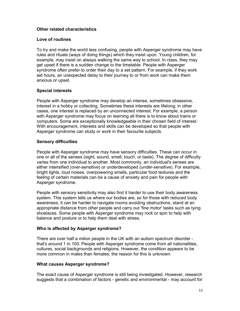### Other related characteristics

#### Love of routines

To try and make the world less confusing, people with Asperger syndrome may have rules and rituals (ways of doing things) which they insist upon. Young children, for example, may insist on always walking the same way to school. In class, they may get upset if there is a sudden change to the timetable. People with Asperger syndrome often prefer to order their day to a set pattern. For example, if they work set hours, an unexpected delay to their journey to or from work can make them anxious or upset.

#### Special interests

People with Asperger syndrome may develop an intense, sometimes obsessive, interest in a hobby or collecting. Sometimes these interests are lifelong; in other cases, one interest is replaced by an unconnected interest. For example, a person with Asperger syndrome may focus on learning all there is to know about trains or computers. Some are exceptionally knowledgeable in their chosen field of interest. With encouragement, interests and skills can be developed so that people with Asperger syndrome can study or work in their favourite subjects.

#### Sensory difficulties

People with Asperger syndrome may have sensory difficulties. These can occur in one or all of the senses (sight, sound, smell, touch, or taste). The degree of difficulty varies from one individual to another. Most commonly, an individual's senses are either intensified (over-sensitive) or underdeveloped (under-sensitive). For example, bright lights, loud noises, overpowering smells, particular food textures and the feeling of certain materials can be a cause of anxiety and pain for people with Asperger syndrome.

People with sensory sensitivity may also find it harder to use their body awareness system. This system tells us where our bodies are, so for those with reduced body awareness, it can be harder to navigate rooms avoiding obstructions, stand at an appropriate distance from other people and carry out 'fine motor' tasks such as tying shoelaces. Some people with Asperger syndrome may rock or spin to help with balance and posture or to help them deal with stress.

#### Who is affected by Asperger syndrome?

There are over half a milion people in the UK with an autism spectrum disorder that's around 1 in 100. People with Asperger syndrome come from all nationalities, cultures, social backgrounds and religions. However, the condition appears to be more common in males than females; the reason for this is unknown.

# What causes Asperger syndrome?

The exact cause of Asperger syndrome is still being investigated. However, research suggests that a combination of factors - genetic and environmental - may account for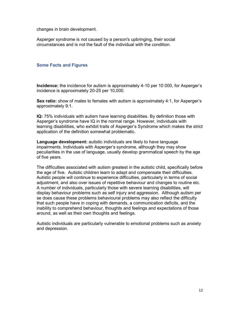changes in brain development.

Asperger syndrome is not caused by a person's upbringing, their social circumstances and is not the fault of the individual with the condition.

#### Some Facts and Figures

Incidence: the incidence for autism is approximately 4-10 per 10 000, for Asperger's incidence is approximately 20-25 per 10,000.

Sex ratio: show of males to females with autism is approximately 4:1, for Asperger's approximately 9:1.

IQ: 75% individuals with autism have learning disabilities. By definition those with Asperger's syndrome have IQ in the normal range. However, individuals with learning disabilities, who exhibit traits of Asperger's Syndrome which makes the strict application of the definition somewhat problematic.

Language development: autistic individuals are likely to have language impairments. Individuals with Asperger's syndrome, although they may show peculiarities in the use of language, usually develop grammatical speech by the age of five years.

The difficulties associated with autism greatest in the autistic child, specifically before the age of five. Autistic children learn to adapt and compensate their difficulties. Autistic people will continue to experience difficulties, particularly in terms of social adjustment, and also over issues of repetitive behaviour and changes to routine etc. A number of individuals, particularly those with severe learning disabilities, will display behaviour problems such as self injury and aggression. Although autism per se does cause these problems behavioural problems may also reflect the difficulty that such people have in coping with demands, a communication deficits, and the inability to comprehend behaviour, thoughts and feelings and expectations of those around, as well as their own thoughts and feelings.

Autistic individuals are particularly vulnerable to emotional problems such as anxiety and depression.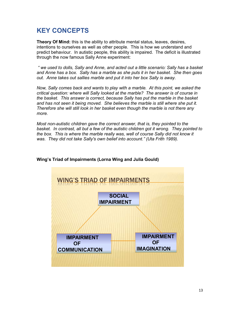# KEY CONCEPTS

Theory Of Mind: this is the ability to attribute mental status, leaves, desires, intentions to ourselves as well as other people. This is how we understand and predict behaviour. In autistic people, this ability is impaired. The deficit is illustrated through the now famous Sally Anne experiment:

 " we used to dolls, Sally and Anne, and acted out a little scenario: Sally has a basket and Anne has a box. Sally has a marble as she puts it in her basket. She then goes out. Anne takes out sallies marble and put it into her box Sally is away.

Now, Sally comes back and wants to play with a marble. At this point, we asked the critical question: where will Sally looked at the marble? The answer is of course in the basket. This answer is correct, because Sally has put the marble in the basket and has not seen it being moved. She believes the marble is still where she put it. Therefore she will still look in her basket even though the marble is not there any more.

Most non-autistic children gave the correct answer, that is, they pointed to the basket. In contrast, all but a few of the autistic children got it wrong. They pointed to the box. This is where the marble really was, well of course Sally did not know it was. They did not take Sally's own belief into account." (Uta Frith 1989).



# Wing's Triad of Impairments (Lorna Wing and Julia Gould)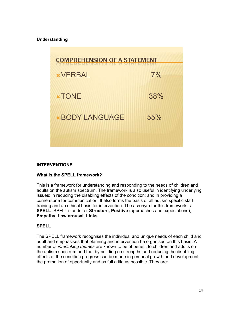#### Understanding



#### INTERVENTIONS

#### What is the SPELL framework?

This is a framework for understanding and responding to the needs of children and adults on the autism spectrum. The framework is also useful in identifying underlying issues; in reducing the disabling effects of the condition; and in providing a cornerstone for communication. It also forms the basis of all autism specific staff training and an ethical basis for intervention. The acronym for this framework is SPELL. SPELL stands for Structure, Positive (approaches and expectations), Empathy, Low arousal, Links.

#### **SPELL**

The SPELL framework recognises the individual and unique needs of each child and adult and emphasises that planning and intervention be organised on this basis. A number of interlinking themes are known to be of benefit to children and adults on the autism spectrum and that by building on strengths and reducing the disabling effects of the condition progress can be made in personal growth and development, the promotion of opportunity and as full a life as possible. They are: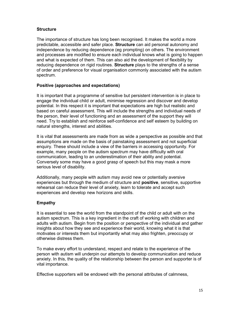#### **Structure**

The importance of structure has long been recognised. It makes the world a more predictable, accessible and safer place. Structure can aid personal autonomy and independence by reducing dependence (eg prompting) on others. The environment and processes are modified to ensure each individual knows what is going to happen and what is expected of them. This can also aid the development of flexibility by reducing dependence on rigid routines. Structure plays to the strengths of a sense of order and preference for visual organisation commonly associated with the autism spectrum.

#### Positive (approaches and expectations)

It is important that a programme of sensitive but persistent intervention is in place to engage the individual child or adult, minimise regression and discover and develop potential. In this respect it is important that expectations are high but realistic and based on careful assessment. This will include the strengths and individual needs of the person, their level of functioning and an assessment of the support they will need. Try to establish and reinforce self-confidence and self esteem by building on natural strengths, interest and abilities.

It is vital that assessments are made from as wide a perspective as possible and that assumptions are made on the basis of painstaking assessment and not superficial enquiry. These should include a view of the barriers in accessing opportunity. For example, many people on the autism spectrum may have difficulty with oral communication, leading to an underestimation of their ability and potential. Conversely some may have a good grasp of speech but this may mask a more serious level of disability.

Additionally, many people with autism may avoid new or potentially aversive experiences but through the medium of structure and **positive**, sensitive, supportive rehearsal can reduce their level of anxiety, learn to tolerate and accept such experiences and develop new horizons and skills.

# Empathy

It is essential to see the world from the standpoint of the child or adult with on the autism spectrum. This is a key ingredient in the craft of working with children and adults with autism. Begin from the position or perspective of the individual and gather insights about how they see and experience their world, knowing what it is that motivates or interests them but importantly what may also frighten, preoccupy or otherwise distress them.

To make every effort to understand, respect and relate to the experience of the person with autism will underpin our attempts to develop communication and reduce anxiety. In this, the quality of the relationship between the person and supporter is of vital importance.

Effective supporters will be endowed with the personal attributes of calmness,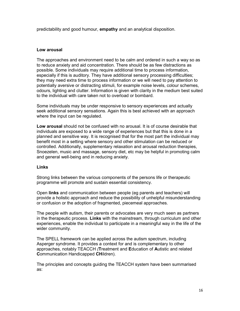predictability and good humour, empathy and an analytical disposition.

#### Low arousal

The approaches and environment need to be calm and ordered in such a way so as to reduce anxiety and aid concentration. There should be as few distractions as possible. Some individuals may require additional time to process information, especially if this is auditory. They have additional sensory processing difficulties; they may need extra time to process information or we will need to pay attention to potentially aversive or distracting stimuli, for example noise levels, colour schemes, odours, lighting and clutter. Information is given with clarity in the medium best suited to the individual with care taken not to overload or bombard.

Some individuals may be under responsive to sensory experiences and actually seek additional sensory sensations. Again this is best achieved with an approach where the input can be regulated.

Low arousal should not be confused with no arousal. It is of course desirable that individuals are exposed to a wide range of experiences but that this is done in a planned and sensitive way. It is recognised that for the most part the individual may benefit most in a setting where sensory and other stimulation can be reduced or controlled. Additionally, supplementary relaxation and arousal reduction therapies, Snoezelen, music and massage, sensory diet, etc may be helpful in promoting calm and general well-being and in reducing anxiety.

#### Links

Strong links between the various components of the persons life or therapeutic programme will promote and sustain essential consistency.

Open links and communication between people (eg parents and teachers) will provide a holistic approach and reduce the possibility of unhelpful misunderstanding or confusion or the adoption of fragmented, piecemeal approaches.

The people with autism, their parents or advocates are very much seen as partners in the therapeutic process. Links with the mainstream, through curriculum and other experiences, enable the individual to participate in a meaningful way in the life of the wider community.

The SPELL framework can be applied across the autism spectrum, including Asperger syndrome. It provides a context for and is complementary to other approaches, notably TEACCH (Treatment and Education of Autistic and related Communication Handicapped CHildren).

The principles and concepts guiding the TEACCH system have been summarised as: